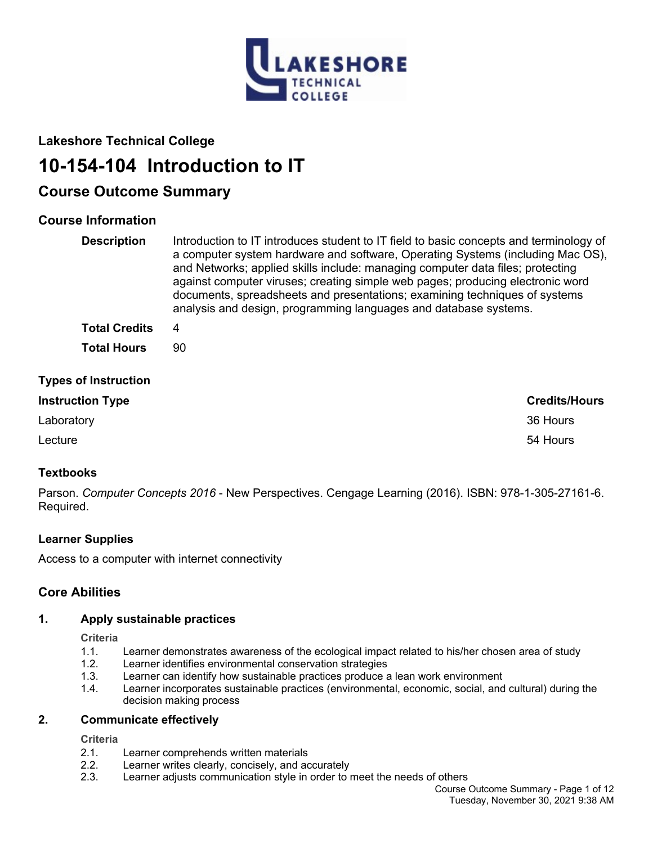

## **Lakeshore Technical College**

# **10-154-104 Introduction to IT**

## **Course Outcome Summary**

## **Course Information**

| <b>Description</b>          | Introduction to IT introduces student to IT field to basic concepts and terminology of<br>a computer system hardware and software, Operating Systems (including Mac OS),<br>and Networks; applied skills include: managing computer data files; protecting<br>against computer viruses; creating simple web pages; producing electronic word<br>documents, spreadsheets and presentations; examining techniques of systems<br>analysis and design, programming languages and database systems. |
|-----------------------------|------------------------------------------------------------------------------------------------------------------------------------------------------------------------------------------------------------------------------------------------------------------------------------------------------------------------------------------------------------------------------------------------------------------------------------------------------------------------------------------------|
| <b>Total Credits</b>        | 4                                                                                                                                                                                                                                                                                                                                                                                                                                                                                              |
| <b>Total Hours</b>          | 90                                                                                                                                                                                                                                                                                                                                                                                                                                                                                             |
| <b>Types of Instruction</b> |                                                                                                                                                                                                                                                                                                                                                                                                                                                                                                |
| <b>Instruction Type</b>     | <b>Credits/Hours</b>                                                                                                                                                                                                                                                                                                                                                                                                                                                                           |
| Laboratory                  | 36 Hours                                                                                                                                                                                                                                                                                                                                                                                                                                                                                       |
| Lecture                     | 54 Hours                                                                                                                                                                                                                                                                                                                                                                                                                                                                                       |

## **Textbooks**

Parson. *Computer Concepts 2016* - New Perspectives. Cengage Learning (2016). ISBN: 978-1-305-27161-6. Required.

## **Learner Supplies**

Access to a computer with internet connectivity

## **Core Abilities**

## **1. Apply sustainable practices**

**Criteria**

- 1.1. Learner demonstrates awareness of the ecological impact related to his/her chosen area of study
- 1.2. Learner identifies environmental conservation strategies
- 1.3. Learner can identify how sustainable practices produce a lean work environment
- 1.4. Learner incorporates sustainable practices (environmental, economic, social, and cultural) during the decision making process

## **2. Communicate effectively**

#### **Criteria**

- 2.1. Learner comprehends written materials
- 2.2. Learner writes clearly, concisely, and accurately
- 2.3. Learner adjusts communication style in order to meet the needs of others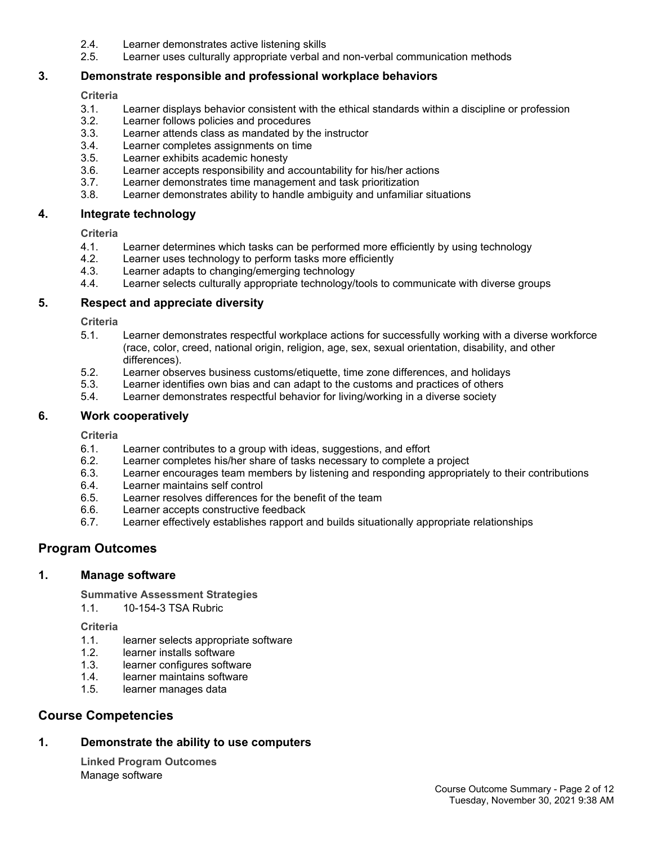- 2.4. Learner demonstrates active listening skills
- 2.5. Learner uses culturally appropriate verbal and non-verbal communication methods

## **3. Demonstrate responsible and professional workplace behaviors**

#### **Criteria**

- 3.1. Learner displays behavior consistent with the ethical standards within a discipline or profession
- 3.2. Learner follows policies and procedures
- 3.3. Learner attends class as mandated by the instructor
- 3.4. Learner completes assignments on time
- 3.5. Learner exhibits academic honesty
- 3.6. Learner accepts responsibility and accountability for his/her actions
- 3.7. Learner demonstrates time management and task prioritization
- 3.8. Learner demonstrates ability to handle ambiguity and unfamiliar situations

#### **4. Integrate technology**

#### **Criteria**

- 4.1. Learner determines which tasks can be performed more efficiently by using technology
- 4.2. Learner uses technology to perform tasks more efficiently
- 4.3. Learner adapts to changing/emerging technology
- 4.4. Learner selects culturally appropriate technology/tools to communicate with diverse groups

## **5. Respect and appreciate diversity**

**Criteria**

- 5.1. Learner demonstrates respectful workplace actions for successfully working with a diverse workforce (race, color, creed, national origin, religion, age, sex, sexual orientation, disability, and other differences).
- 5.2. Learner observes business customs/etiquette, time zone differences, and holidays
- 5.3. Learner identifies own bias and can adapt to the customs and practices of others
- 5.4. Learner demonstrates respectful behavior for living/working in a diverse society

#### **6. Work cooperatively**

**Criteria**

- 6.1. Learner contributes to a group with ideas, suggestions, and effort
- 6.2. Learner completes his/her share of tasks necessary to complete a project
- 6.3. Learner encourages team members by listening and responding appropriately to their contributions
- 6.4. Learner maintains self control
- 6.5. Learner resolves differences for the benefit of the team
- 6.6. Learner accepts constructive feedback<br>6.7. Learner effectively establishes rapport
- Learner effectively establishes rapport and builds situationally appropriate relationships

## **Program Outcomes**

#### **1. Manage software**

**Summative Assessment Strategies**

1.1. 10-154-3 TSA Rubric

**Criteria**

- 1.1. learner selects appropriate software
- 1.2. learner installs software
- 1.3. learner configures software
- 1.4. learner maintains software
- 1.5. learner manages data

## **Course Competencies**

## **1. Demonstrate the ability to use computers**

**Linked Program Outcomes** Manage software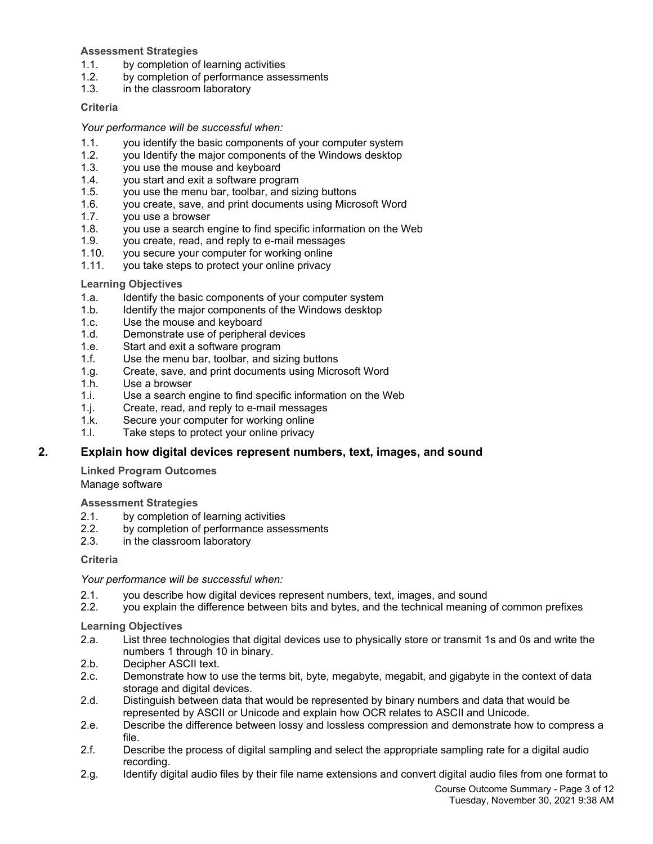#### **Assessment Strategies**

- 1.1. by completion of learning activities
- 1.2. by completion of performance assessments<br>1.3. in the classroom laboratory
- in the classroom laboratory

#### **Criteria**

#### *Your performance will be successful when:*

- 1.1. you identify the basic components of your computer system
- 1.2. you Identify the major components of the Windows desktop
- 1.3. you use the mouse and keyboard
- 1.4. you start and exit a software program
- 1.5. you use the menu bar, toolbar, and sizing buttons
- 1.6. you create, save, and print documents using Microsoft Word
- 1.7. you use a browser
- 1.8. you use a search engine to find specific information on the Web
- 1.9. you create, read, and reply to e-mail messages
- 1.10. you secure your computer for working online
- 1.11. you take steps to protect your online privacy

#### **Learning Objectives**

- 1.a. Identify the basic components of your computer system
- 1.b. Identify the major components of the Windows desktop
- 1.c. Use the mouse and keyboard
- 1.d. Demonstrate use of peripheral devices
- 1.e. Start and exit a software program
- 1.f. Use the menu bar, toolbar, and sizing buttons
- 1.g. Create, save, and print documents using Microsoft Word
- 1.h. Use a browser
- 1.i. Use a search engine to find specific information on the Web
- 1.j. Create, read, and reply to e-mail messages
- 1.k. Secure your computer for working online
- 1.l. Take steps to protect your online privacy

## **2. Explain how digital devices represent numbers, text, images, and sound**

**Linked Program Outcomes** Manage software

**Assessment Strategies**

- 2.1. by completion of learning activities<br>2.2. by completion of performance asse
- by completion of performance assessments
- 2.3. in the classroom laboratory

#### **Criteria**

*Your performance will be successful when:*

- 2.1. you describe how digital devices represent numbers, text, images, and sound
- 2.2. you explain the difference between bits and bytes, and the technical meaning of common prefixes

- 2.a. List three technologies that digital devices use to physically store or transmit 1s and 0s and write the numbers 1 through 10 in binary.
- 2.b. Decipher ASCII text.
- 2.c. Demonstrate how to use the terms bit, byte, megabyte, megabit, and gigabyte in the context of data storage and digital devices.
- 2.d. Distinguish between data that would be represented by binary numbers and data that would be represented by ASCII or Unicode and explain how OCR relates to ASCII and Unicode.
- 2.e. Describe the difference between lossy and lossless compression and demonstrate how to compress a file.
- 2.f. Describe the process of digital sampling and select the appropriate sampling rate for a digital audio recording.
- 2.g. Identify digital audio files by their file name extensions and convert digital audio files from one format to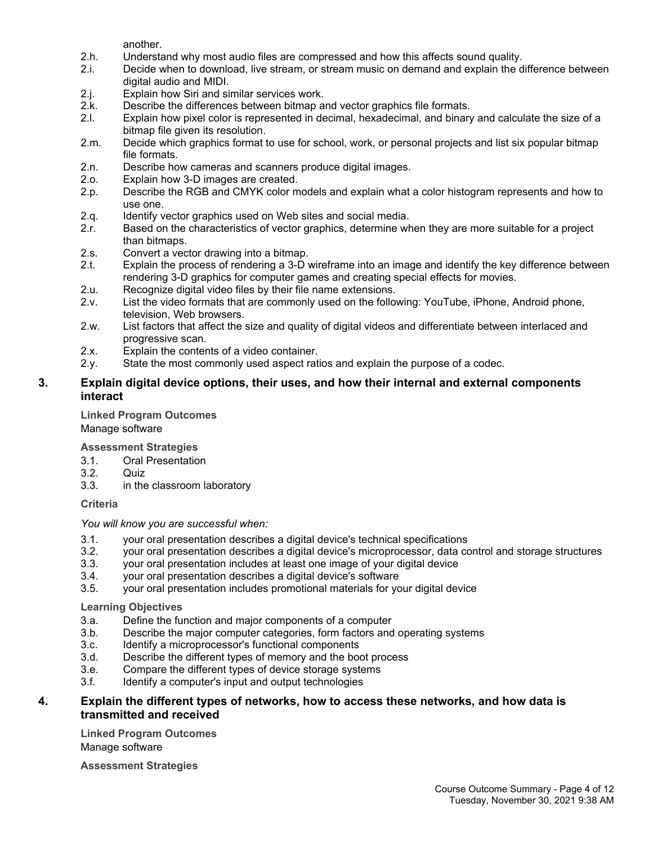another.

- 2.h. Understand why most audio files are compressed and how this affects sound quality.
- 2.i. Decide when to download, live stream, or stream music on demand and explain the difference between digital audio and MIDI.
- 2.j. Explain how Siri and similar services work.<br>2.k. Describe the differences between bitmap a
- 2.k. Describe the differences between bitmap and vector graphics file formats.<br>2.l. Explain how pixel color is represented in decimal, hexadecimal, and binary
- Explain how pixel color is represented in decimal, hexadecimal, and binary and calculate the size of a bitmap file given its resolution.
- 2.m. Decide which graphics format to use for school, work, or personal projects and list six popular bitmap file formats.
- 2.n. Describe how cameras and scanners produce digital images.<br>2.o. Explain how 3-D images are created.
- Explain how 3-D images are created.
- 2.p. Describe the RGB and CMYK color models and explain what a color histogram represents and how to use one.
- 2.q. Identify vector graphics used on Web sites and social media.
- 2.r. Based on the characteristics of vector graphics, determine when they are more suitable for a project than bitmaps.
- 2.s. Convert a vector drawing into a bitmap.
- 2.t. Explain the process of rendering a 3-D wireframe into an image and identify the key difference between rendering 3-D graphics for computer games and creating special effects for movies.
- 2.u. Recognize digital video files by their file name extensions.
- 2.v. List the video formats that are commonly used on the following: YouTube, iPhone, Android phone, television, Web browsers.
- 2.w. List factors that affect the size and quality of digital videos and differentiate between interlaced and progressive scan.
- 2.x. Explain the contents of a video container.
- 2.y. State the most commonly used aspect ratios and explain the purpose of a codec.

## **3. Explain digital device options, their uses, and how their internal and external components interact**

**Linked Program Outcomes** Manage software

**Assessment Strategies**

- 3.1. Oral Presentation
- 3.2. Quiz
- 3.3. in the classroom laboratory

## **Criteria**

*You will know you are successful when:*

- 3.1. your oral presentation describes a digital device's technical specifications
- 3.2. your oral presentation describes a digital device's microprocessor, data control and storage structures
- 3.3. your oral presentation includes at least one image of your digital device
- 3.4. your oral presentation describes a digital device's software
- 3.5. your oral presentation includes promotional materials for your digital device

#### **Learning Objectives**

- 3.a. Define the function and major components of a computer
- 3.b. Describe the major computer categories, form factors and operating systems
- 3.c. Identify a microprocessor's functional components
- 3.d. Describe the different types of memory and the boot process
- 3.e. Compare the different types of device storage systems
- 3.f. Identify a computer's input and output technologies

## **4. Explain the different types of networks, how to access these networks, and how data is transmitted and received**

**Linked Program Outcomes** Manage software

**Assessment Strategies**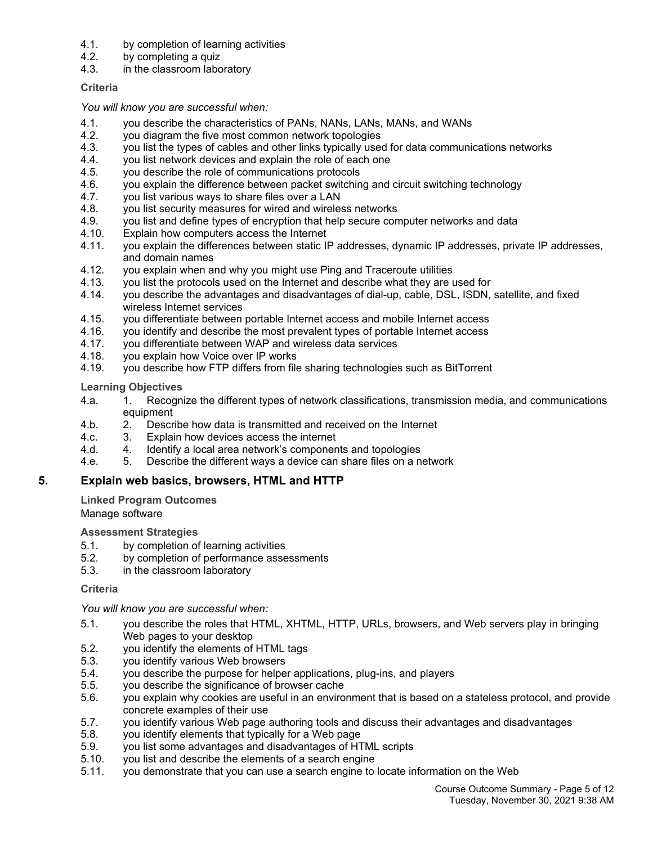- 4.1. by completion of learning activities
- 4.2. by completing a quiz
- 4.3. in the classroom laboratory

#### **Criteria**

#### *You will know you are successful when:*

- 4.1. you describe the characteristics of PANs, NANs, LANs, MANs, and WANs
- 4.2. you diagram the five most common network topologies
- 4.3. you list the types of cables and other links typically used for data communications networks
- 4.4. you list network devices and explain the role of each one
- 4.5. you describe the role of communications protocols
- 4.6. you explain the difference between packet switching and circuit switching technology
- 4.7. you list various ways to share files over a LAN
- 4.8. you list security measures for wired and wireless networks
- 4.9. you list and define types of encryption that help secure computer networks and data
- 4.10. Explain how computers access the Internet
- 4.11. you explain the differences between static IP addresses, dynamic IP addresses, private IP addresses, and domain names
- 4.12. you explain when and why you might use Ping and Traceroute utilities
- 4.13. you list the protocols used on the Internet and describe what they are used for
- 4.14. you describe the advantages and disadvantages of dial-up, cable, DSL, ISDN, satellite, and fixed wireless Internet services
- 4.15. you differentiate between portable Internet access and mobile Internet access
- 4.16. you identify and describe the most prevalent types of portable Internet access
- 4.17. you differentiate between WAP and wireless data services
- 4.18. you explain how Voice over IP works
- 4.19. you describe how FTP differs from file sharing technologies such as BitTorrent

**Learning Objectives**

- 4.a. 1. Recognize the different types of network classifications, transmission media, and communications equipment
- 4.b. 2. Describe how data is transmitted and received on the Internet
- 4.c. 3. Explain how devices access the internet
- 4.d. 4. Identify a local area network's components and topologies
- 4.e. 5. Describe the different ways a device can share files on a network

## **5. Explain web basics, browsers, HTML and HTTP**

**Linked Program Outcomes** Manage software

**Assessment Strategies**

- 5.1. by completion of learning activities
- 5.2. by completion of performance assessments
- 5.3. in the classroom laboratory

#### **Criteria**

*You will know you are successful when:*

- 5.1. you describe the roles that HTML, XHTML, HTTP, URLs, browsers, and Web servers play in bringing Web pages to your desktop
- 5.2. you identify the elements of HTML tags
- 5.3. you identify various Web browsers
- 5.4. you describe the purpose for helper applications, plug-ins, and players 5.5. vou describe the significance of browser cache
- you describe the significance of browser cache
- 5.6. you explain why cookies are useful in an environment that is based on a stateless protocol, and provide concrete examples of their use
- 5.7. you identify various Web page authoring tools and discuss their advantages and disadvantages
- 5.8. you identify elements that typically for a Web page
- 5.9. you list some advantages and disadvantages of HTML scripts
- 5.10. you list and describe the elements of a search engine
- 5.11. you demonstrate that you can use a search engine to locate information on the Web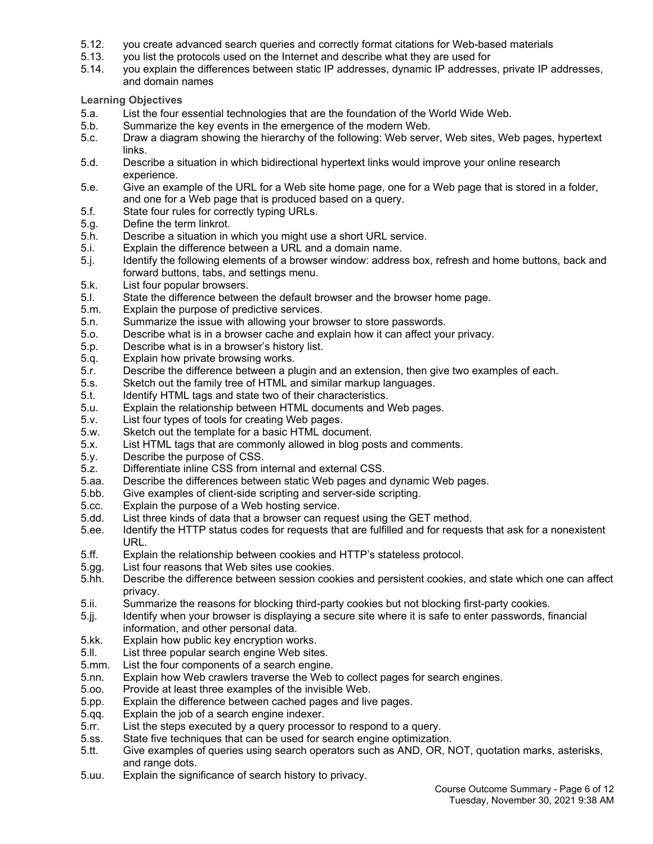- 5.12. you create advanced search queries and correctly format citations for Web-based materials
- 5.13. you list the protocols used on the Internet and describe what they are used for
- 5.14. you explain the differences between static IP addresses, dynamic IP addresses, private IP addresses, and domain names

- 5.a. List the four essential technologies that are the foundation of the World Wide Web.
- 5.b. Summarize the key events in the emergence of the modern Web.
- 5.c. Draw a diagram showing the hierarchy of the following: Web server, Web sites, Web pages, hypertext links.
- 5.d. Describe a situation in which bidirectional hypertext links would improve your online research experience.
- 5.e. Give an example of the URL for a Web site home page, one for a Web page that is stored in a folder, and one for a Web page that is produced based on a query.
- 5.f. State four rules for correctly typing URLs.
- 5.g. Define the term linkrot.
- 5.h. Describe a situation in which you might use a short URL service.
- 5.i. Explain the difference between a URL and a domain name.
- 5.j. Identify the following elements of a browser window: address box, refresh and home buttons, back and forward buttons, tabs, and settings menu.
- 5.k. List four popular browsers.
- 5.l. State the difference between the default browser and the browser home page.
- 5.m. Explain the purpose of predictive services.
- 5.n. Summarize the issue with allowing your browser to store passwords.
- 5.o. Describe what is in a browser cache and explain how it can affect your privacy.
- 5.p. Describe what is in a browser's history list.
- 5.q. Explain how private browsing works.
- 5.r. Describe the difference between a plugin and an extension, then give two examples of each.
- 5.s. Sketch out the family tree of HTML and similar markup languages.
- 5.t. Identify HTML tags and state two of their characteristics.
- 5.u. Explain the relationship between HTML documents and Web pages.
- 5.v. List four types of tools for creating Web pages.
- 5.w. Sketch out the template for a basic HTML document.
- 5.x. List HTML tags that are commonly allowed in blog posts and comments.
- 5.y. Describe the purpose of CSS.
- 5.z. Differentiate inline CSS from internal and external CSS.
- 5.aa. Describe the differences between static Web pages and dynamic Web pages.
- 5.bb. Give examples of client-side scripting and server-side scripting.
- 5.cc. Explain the purpose of a Web hosting service.
- 5.dd. List three kinds of data that a browser can request using the GET method.
- 5.ee. Identify the HTTP status codes for requests that are fulfilled and for requests that ask for a nonexistent URL.
- 5.ff. Explain the relationship between cookies and HTTP's stateless protocol.
- 5.gg. List four reasons that Web sites use cookies.
- 5.hh. Describe the difference between session cookies and persistent cookies, and state which one can affect privacy.
- 5.ii. Summarize the reasons for blocking third-party cookies but not blocking first-party cookies.
- 5.jj. Identify when your browser is displaying a secure site where it is safe to enter passwords, financial information, and other personal data.
- 5.kk. Explain how public key encryption works.
- 5.ll. List three popular search engine Web sites.
- 5.mm. List the four components of a search engine.
- 5.nn. Explain how Web crawlers traverse the Web to collect pages for search engines.
- 5.oo. Provide at least three examples of the invisible Web.
- 5.pp. Explain the difference between cached pages and live pages.
- 5.qq. Explain the job of a search engine indexer.
- 5.rr. List the steps executed by a query processor to respond to a query.
- 5.ss. State five techniques that can be used for search engine optimization.
- 5.tt. Give examples of queries using search operators such as AND, OR, NOT, quotation marks, asterisks, and range dots.
- 5.uu. Explain the significance of search history to privacy.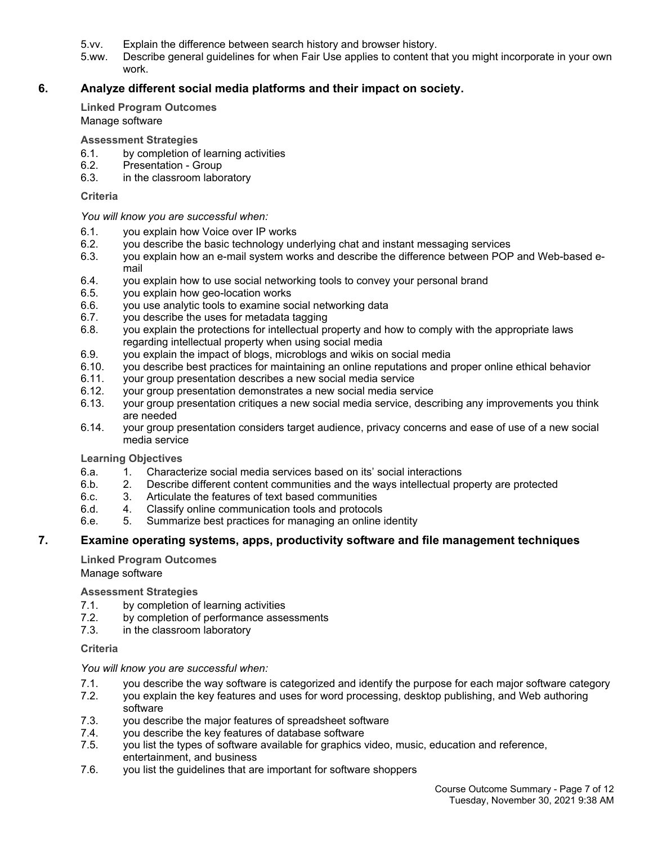- 5.vv. Explain the difference between search history and browser history.
- 5.ww. Describe general guidelines for when Fair Use applies to content that you might incorporate in your own work.

## **6. Analyze different social media platforms and their impact on society.**

**Linked Program Outcomes** Manage software

**Assessment Strategies**

- 6.1. by completion of learning activities
- 6.2. Presentation Group
- 6.3. in the classroom laboratory

#### **Criteria**

*You will know you are successful when:*

- 6.1. you explain how Voice over IP works
- 6.2. you describe the basic technology underlying chat and instant messaging services
- 6.3. you explain how an e-mail system works and describe the difference between POP and Web-based email
- 6.4. you explain how to use social networking tools to convey your personal brand
- 6.5. you explain how geo-location works
- 6.6. you use analytic tools to examine social networking data
- 6.7. you describe the uses for metadata tagging
- 6.8. you explain the protections for intellectual property and how to comply with the appropriate laws regarding intellectual property when using social media
- 6.9. you explain the impact of blogs, microblogs and wikis on social media
- 6.10. you describe best practices for maintaining an online reputations and proper online ethical behavior
- 6.11. your group presentation describes a new social media service
- 6.12. your group presentation demonstrates a new social media service
- 6.13. your group presentation critiques a new social media service, describing any improvements you think are needed
- 6.14. your group presentation considers target audience, privacy concerns and ease of use of a new social media service

#### **Learning Objectives**

- 6.a. 1. Characterize social media services based on its' social interactions
- 6.b. 2. Describe different content communities and the ways intellectual property are protected
- 6.c. 3. Articulate the features of text based communities
- 6.d. 4. Classify online communication tools and protocols
- 6.e. 5. Summarize best practices for managing an online identity

#### **7. Examine operating systems, apps, productivity software and file management techniques**

**Linked Program Outcomes** Manage software

**Assessment Strategies**

- 7.1. by completion of learning activities
- 7.2. by completion of performance assessments
- 7.3. in the classroom laboratory

#### **Criteria**

*You will know you are successful when:*

- 7.1. you describe the way software is categorized and identify the purpose for each major software category
- 7.2. you explain the key features and uses for word processing, desktop publishing, and Web authoring software
- 7.3. you describe the major features of spreadsheet software
- 7.4. you describe the key features of database software
- 7.5. you list the types of software available for graphics video, music, education and reference, entertainment, and business
- 7.6. you list the guidelines that are important for software shoppers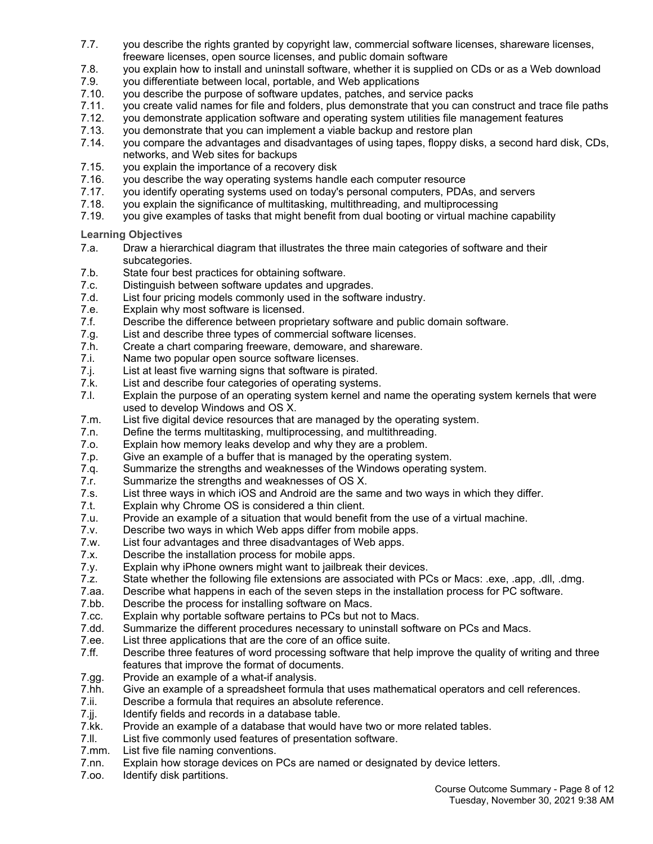- 7.7. you describe the rights granted by copyright law, commercial software licenses, shareware licenses, freeware licenses, open source licenses, and public domain software
- 7.8. you explain how to install and uninstall software, whether it is supplied on CDs or as a Web download
- 7.9. you differentiate between local, portable, and Web applications<br>7.10. vou describe the purpose of software updates, patches, and ser
- 7.10. you describe the purpose of software updates, patches, and service packs
- 7.11. you create valid names for file and folders, plus demonstrate that you can construct and trace file paths<br>7.12. you demonstrate application software and operating system utilities file management features
- 7.12. you demonstrate application software and operating system utilities file management features<br>7.13. vou demonstrate that you can implement a viable backup and restore plan
- 7.13. you demonstrate that you can implement a viable backup and restore plan
- 7.14. you compare the advantages and disadvantages of using tapes, floppy disks, a second hard disk, CDs, networks, and Web sites for backups
- 7.15. you explain the importance of a recovery disk
- 7.16. you describe the way operating systems handle each computer resource
- 7.17. you identify operating systems used on today's personal computers, PDAs, and servers
- 7.18. you explain the significance of multitasking, multithreading, and multiprocessing
- 7.19. you give examples of tasks that might benefit from dual booting or virtual machine capability

- 7.a. Draw a hierarchical diagram that illustrates the three main categories of software and their subcategories.
- 7.b. State four best practices for obtaining software.
- 7.c. Distinguish between software updates and upgrades.
- 7.d. List four pricing models commonly used in the software industry.
- 7.e. Explain why most software is licensed.
- 7.f. Describe the difference between proprietary software and public domain software.
- 7.g. List and describe three types of commercial software licenses.
- 7.h. Create a chart comparing freeware, demoware, and shareware.
- 7.i. Name two popular open source software licenses.
- 7.j. List at least five warning signs that software is pirated.<br>7.k. List and describe four categories of operating systems.
- List and describe four categories of operating systems.
- 7.l. Explain the purpose of an operating system kernel and name the operating system kernels that were used to develop Windows and OS X.
- 7.m. List five digital device resources that are managed by the operating system.
- 7.n. Define the terms multitasking, multiprocessing, and multithreading.
- 7.o. Explain how memory leaks develop and why they are a problem.
- 7.p. Give an example of a buffer that is managed by the operating system.
- 7.q. Summarize the strengths and weaknesses of the Windows operating system.
- 7.r. Summarize the strengths and weaknesses of OS X.
- 7.s. List three ways in which iOS and Android are the same and two ways in which they differ.
- 7.t. Explain why Chrome OS is considered a thin client.
- 7.u. Provide an example of a situation that would benefit from the use of a virtual machine.
- 7.v. Describe two ways in which Web apps differ from mobile apps.
- 7.w. List four advantages and three disadvantages of Web apps.
- 7.x. Describe the installation process for mobile apps.
- 7.y. Explain why iPhone owners might want to jailbreak their devices.<br>7.z. State whether the following file extensions are associated with PO
- State whether the following file extensions are associated with PCs or Macs: .exe, .app, .dll, .dmg.
- 7.aa. Describe what happens in each of the seven steps in the installation process for PC software.<br>7.bb. Describe the process for installing software on Macs.
- Describe the process for installing software on Macs.
- 7.cc. Explain why portable software pertains to PCs but not to Macs.
- 7.dd. Summarize the different procedures necessary to uninstall software on PCs and Macs.
- 7.ee. List three applications that are the core of an office suite.
- 7.ff. Describe three features of word processing software that help improve the quality of writing and three features that improve the format of documents.
- 7.gg. Provide an example of a what-if analysis.
- 7.hh. Give an example of a spreadsheet formula that uses mathematical operators and cell references.
- 7.ii. Describe a formula that requires an absolute reference.
- 7.jj. Identify fields and records in a database table.
- 7.kk. Provide an example of a database that would have two or more related tables.
- 7.ll. List five commonly used features of presentation software.
- 7.mm. List five file naming conventions.
- 7.nn. Explain how storage devices on PCs are named or designated by device letters.
- 7.oo. Identify disk partitions.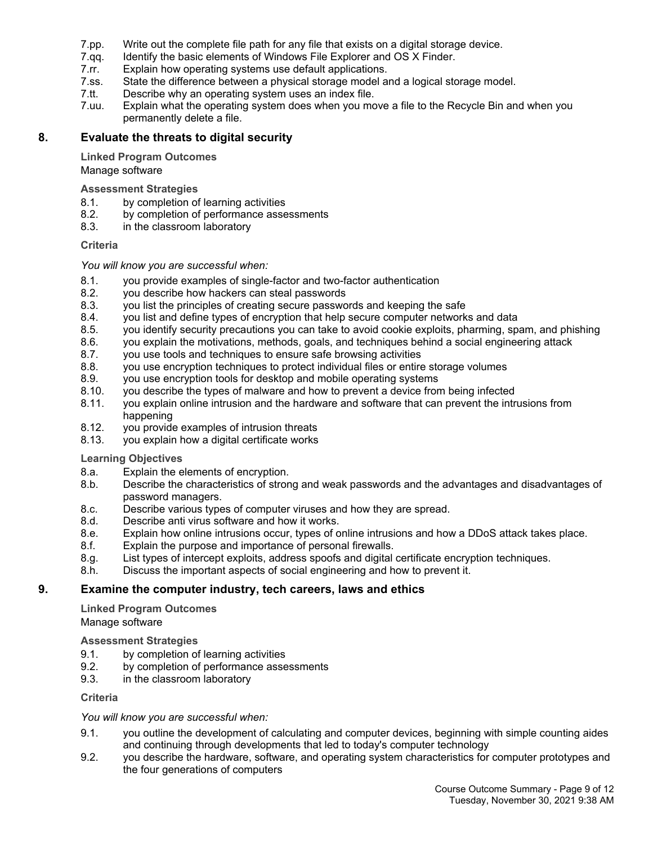- 7.pp. Write out the complete file path for any file that exists on a digital storage device.
- 7.qq. Identify the basic elements of Windows File Explorer and OS X Finder.
- 7.rr. Explain how operating systems use default applications.
- 7.ss. State the difference between a physical storage model and a logical storage model.
- 7.tt. Describe why an operating system uses an index file.
- 7.uu. Explain what the operating system does when you move a file to the Recycle Bin and when you permanently delete a file.

## **8. Evaluate the threats to digital security**

#### **Linked Program Outcomes**

#### Manage software

#### **Assessment Strategies**

- 8.1. by completion of learning activities
- 8.2. by completion of performance assessments
- 8.3. in the classroom laboratory

#### **Criteria**

#### *You will know you are successful when:*

- 8.1. you provide examples of single-factor and two-factor authentication
- 8.2. you describe how hackers can steal passwords
- 8.3. you list the principles of creating secure passwords and keeping the safe
- 8.4. you list and define types of encryption that help secure computer networks and data
- 8.5. you identify security precautions you can take to avoid cookie exploits, pharming, spam, and phishing
- 8.6. you explain the motivations, methods, goals, and techniques behind a social engineering attack
- 8.7. you use tools and techniques to ensure safe browsing activities
- 8.8. you use encryption techniques to protect individual files or entire storage volumes
- 8.9. you use encryption tools for desktop and mobile operating systems
- 8.10. you describe the types of malware and how to prevent a device from being infected
- 8.11. you explain online intrusion and the hardware and software that can prevent the intrusions from happening
- 8.12. you provide examples of intrusion threats
- 8.13. you explain how a digital certificate works

#### **Learning Objectives**

- 8.a. Explain the elements of encryption.
- 8.b. Describe the characteristics of strong and weak passwords and the advantages and disadvantages of password managers.
- 8.c. Describe various types of computer viruses and how they are spread.
- 8.d. Describe anti virus software and how it works.
- 8.e. Explain how online intrusions occur, types of online intrusions and how a DDoS attack takes place.
- 8.f. Explain the purpose and importance of personal firewalls.
- 8.g. List types of intercept exploits, address spoofs and digital certificate encryption techniques.
- 8.h. Discuss the important aspects of social engineering and how to prevent it.

#### **9. Examine the computer industry, tech careers, laws and ethics**

**Linked Program Outcomes** Manage software

**Assessment Strategies**

- 9.1. by completion of learning activities
- 9.2. by completion of performance assessments
- 9.3. in the classroom laboratory

#### **Criteria**

*You will know you are successful when:*

- 9.1. you outline the development of calculating and computer devices, beginning with simple counting aides and continuing through developments that led to today's computer technology
- 9.2. you describe the hardware, software, and operating system characteristics for computer prototypes and the four generations of computers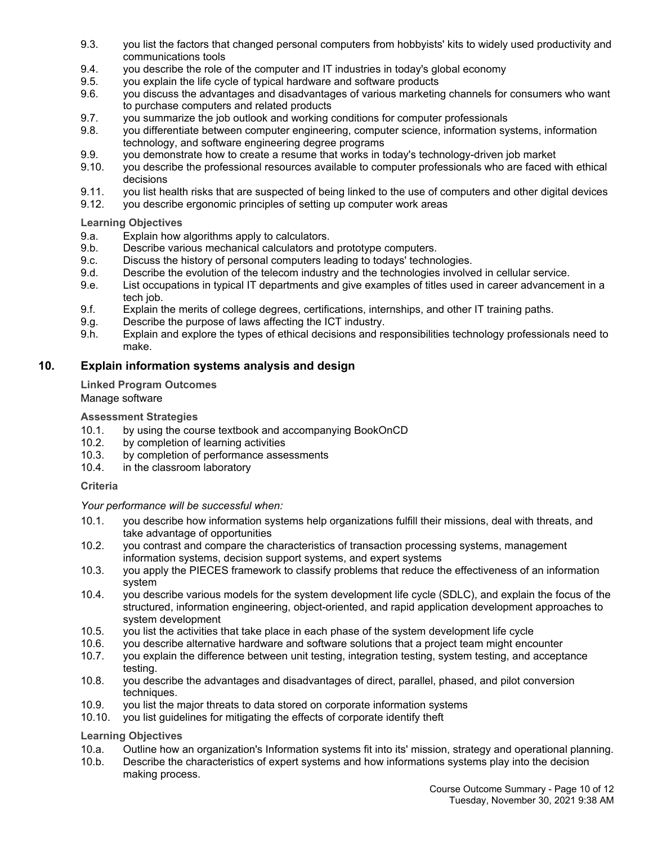- 9.3. you list the factors that changed personal computers from hobbyists' kits to widely used productivity and communications tools
- 9.4. you describe the role of the computer and IT industries in today's global economy
- 9.5. you explain the life cycle of typical hardware and software products
- 9.6. you discuss the advantages and disadvantages of various marketing channels for consumers who want to purchase computers and related products
- 9.7. you summarize the job outlook and working conditions for computer professionals
- 9.8. you differentiate between computer engineering, computer science, information systems, information technology, and software engineering degree programs
- 9.9. you demonstrate how to create a resume that works in today's technology-driven job market
- 9.10. you describe the professional resources available to computer professionals who are faced with ethical decisions
- 9.11. you list health risks that are suspected of being linked to the use of computers and other digital devices
- 9.12. you describe ergonomic principles of setting up computer work areas

## **Learning Objectives**

- 9.a. Explain how algorithms apply to calculators.
- 9.b. Describe various mechanical calculators and prototype computers.
- 9.c. Discuss the history of personal computers leading to todays' technologies.
- 9.d. Describe the evolution of the telecom industry and the technologies involved in cellular service.
- 9.e. List occupations in typical IT departments and give examples of titles used in career advancement in a tech job.
- 9.f. Explain the merits of college degrees, certifications, internships, and other IT training paths.
- 9.g. Describe the purpose of laws affecting the ICT industry.
- 9.h. Explain and explore the types of ethical decisions and responsibilities technology professionals need to make.

## **10. Explain information systems analysis and design**

**Linked Program Outcomes**

## Manage software

## **Assessment Strategies**

- 10.1. by using the course textbook and accompanying BookOnCD
- 10.2. by completion of learning activities
- 10.3. by completion of performance assessments
- 10.4. in the classroom laboratory

#### **Criteria**

#### *Your performance will be successful when:*

- 10.1. you describe how information systems help organizations fulfill their missions, deal with threats, and take advantage of opportunities
- 10.2. you contrast and compare the characteristics of transaction processing systems, management information systems, decision support systems, and expert systems
- 10.3. you apply the PIECES framework to classify problems that reduce the effectiveness of an information system
- 10.4. you describe various models for the system development life cycle (SDLC), and explain the focus of the structured, information engineering, object-oriented, and rapid application development approaches to system development
- 10.5. you list the activities that take place in each phase of the system development life cycle
- 10.6. you describe alternative hardware and software solutions that a project team might encounter
- 10.7. you explain the difference between unit testing, integration testing, system testing, and acceptance testing.
- 10.8. you describe the advantages and disadvantages of direct, parallel, phased, and pilot conversion techniques.
- 10.9. you list the major threats to data stored on corporate information systems
- 10.10. you list guidelines for mitigating the effects of corporate identify theft

- 10.a. Outline how an organization's Information systems fit into its' mission, strategy and operational planning.
- 10.b. Describe the characteristics of expert systems and how informations systems play into the decision making process.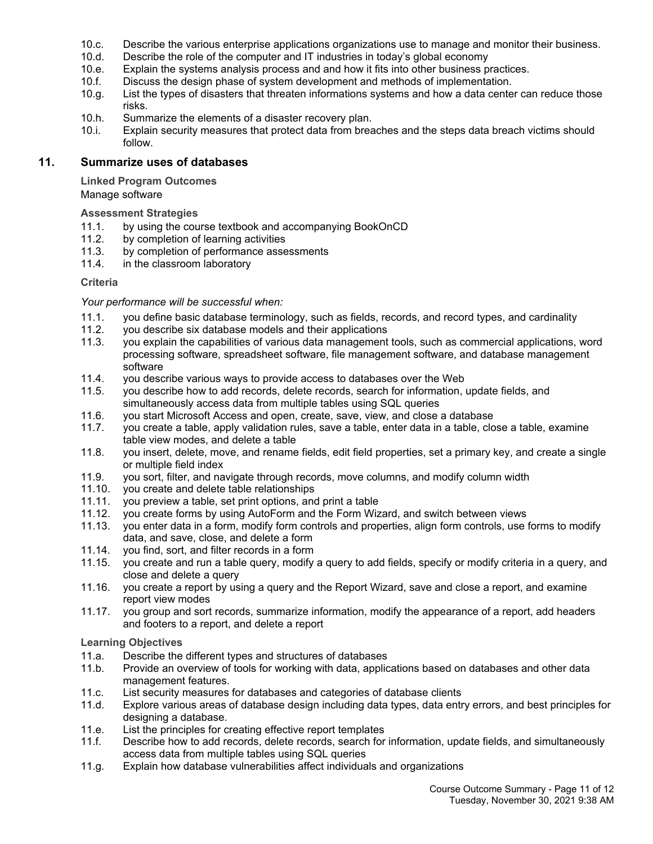- 10.c. Describe the various enterprise applications organizations use to manage and monitor their business.
- 10.d. Describe the role of the computer and IT industries in today's global economy
- 10.e. Explain the systems analysis process and and how it fits into other business practices.
- 10.f. Discuss the design phase of system development and methods of implementation.
- 10.g. List the types of disasters that threaten informations systems and how a data center can reduce those risks.
- 10.h. Summarize the elements of a disaster recovery plan.
- 10.i. Explain security measures that protect data from breaches and the steps data breach victims should follow.

### **11. Summarize uses of databases**

**Linked Program Outcomes**

Manage software

#### **Assessment Strategies**

- 11.1. by using the course textbook and accompanying BookOnCD
- 11.2. by completion of learning activities
- 11.3. by completion of performance assessments<br>11.4. in the classroom laboratory
- in the classroom laboratory

#### **Criteria**

#### *Your performance will be successful when:*

- 11.1. you define basic database terminology, such as fields, records, and record types, and cardinality
- 11.2. you describe six database models and their applications
- 11.3. you explain the capabilities of various data management tools, such as commercial applications, word processing software, spreadsheet software, file management software, and database management software
- 11.4. you describe various ways to provide access to databases over the Web
- 11.5. you describe how to add records, delete records, search for information, update fields, and simultaneously access data from multiple tables using SQL queries
- 11.6. you start Microsoft Access and open, create, save, view, and close a database
- 11.7. you create a table, apply validation rules, save a table, enter data in a table, close a table, examine table view modes, and delete a table
- 11.8. you insert, delete, move, and rename fields, edit field properties, set a primary key, and create a single or multiple field index
- 11.9. you sort, filter, and navigate through records, move columns, and modify column width
- 11.10. you create and delete table relationships
- 11.11. you preview a table, set print options, and print a table
- 11.12. you create forms by using AutoForm and the Form Wizard, and switch between views
- 11.13. you enter data in a form, modify form controls and properties, align form controls, use forms to modify data, and save, close, and delete a form
- 11.14. you find, sort, and filter records in a form
- 11.15. you create and run a table query, modify a query to add fields, specify or modify criteria in a query, and close and delete a query
- 11.16. you create a report by using a query and the Report Wizard, save and close a report, and examine report view modes
- 11.17. you group and sort records, summarize information, modify the appearance of a report, add headers and footers to a report, and delete a report

- 11.a. Describe the different types and structures of databases
- 11.b. Provide an overview of tools for working with data, applications based on databases and other data management features.
- 11.c. List security measures for databases and categories of database clients
- 11.d. Explore various areas of database design including data types, data entry errors, and best principles for designing a database.
- 11.e. List the principles for creating effective report templates
- 11.f. Describe how to add records, delete records, search for information, update fields, and simultaneously access data from multiple tables using SQL queries
- 11.g. Explain how database vulnerabilities affect individuals and organizations